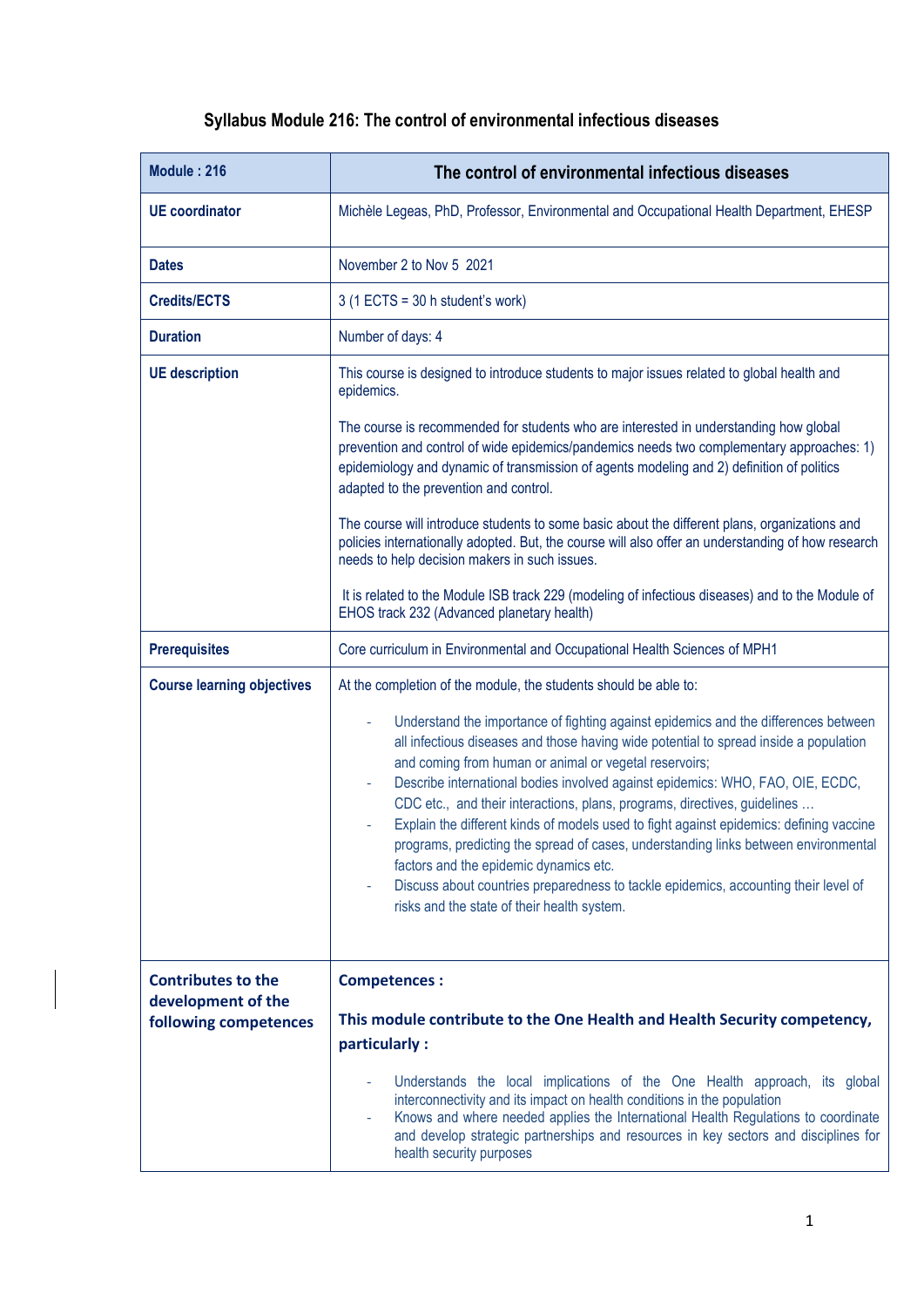## **Syllabus Module 216: The control of environmental infectious diseases**

| Module: 216                                 | The control of environmental infectious diseases                                                                                                                                                                                                                                                                                                                                                                                                                                                                                                                                                                                                                                                                                                                              |
|---------------------------------------------|-------------------------------------------------------------------------------------------------------------------------------------------------------------------------------------------------------------------------------------------------------------------------------------------------------------------------------------------------------------------------------------------------------------------------------------------------------------------------------------------------------------------------------------------------------------------------------------------------------------------------------------------------------------------------------------------------------------------------------------------------------------------------------|
| <b>UE</b> coordinator                       | Michèle Legeas, PhD, Professor, Environmental and Occupational Health Department, EHESP                                                                                                                                                                                                                                                                                                                                                                                                                                                                                                                                                                                                                                                                                       |
| <b>Dates</b>                                | November 2 to Nov 5 2021                                                                                                                                                                                                                                                                                                                                                                                                                                                                                                                                                                                                                                                                                                                                                      |
| <b>Credits/ECTS</b>                         | $3(1$ ECTS = 30 h student's work)                                                                                                                                                                                                                                                                                                                                                                                                                                                                                                                                                                                                                                                                                                                                             |
| <b>Duration</b>                             | Number of days: 4                                                                                                                                                                                                                                                                                                                                                                                                                                                                                                                                                                                                                                                                                                                                                             |
| <b>UE</b> description                       | This course is designed to introduce students to major issues related to global health and<br>epidemics.                                                                                                                                                                                                                                                                                                                                                                                                                                                                                                                                                                                                                                                                      |
|                                             | The course is recommended for students who are interested in understanding how global<br>prevention and control of wide epidemics/pandemics needs two complementary approaches: 1)<br>epidemiology and dynamic of transmission of agents modeling and 2) definition of politics<br>adapted to the prevention and control.                                                                                                                                                                                                                                                                                                                                                                                                                                                     |
|                                             | The course will introduce students to some basic about the different plans, organizations and<br>policies internationally adopted. But, the course will also offer an understanding of how research<br>needs to help decision makers in such issues.                                                                                                                                                                                                                                                                                                                                                                                                                                                                                                                          |
|                                             | It is related to the Module ISB track 229 (modeling of infectious diseases) and to the Module of<br>EHOS track 232 (Advanced planetary health)                                                                                                                                                                                                                                                                                                                                                                                                                                                                                                                                                                                                                                |
| <b>Prerequisites</b>                        | Core curriculum in Environmental and Occupational Health Sciences of MPH1                                                                                                                                                                                                                                                                                                                                                                                                                                                                                                                                                                                                                                                                                                     |
| <b>Course learning objectives</b>           | At the completion of the module, the students should be able to:                                                                                                                                                                                                                                                                                                                                                                                                                                                                                                                                                                                                                                                                                                              |
|                                             | Understand the importance of fighting against epidemics and the differences between<br>÷,<br>all infectious diseases and those having wide potential to spread inside a population<br>and coming from human or animal or vegetal reservoirs;<br>Describe international bodies involved against epidemics: WHO, FAO, OIE, ECDC,<br>CDC etc., and their interactions, plans, programs, directives, guidelines<br>Explain the different kinds of models used to fight against epidemics: defining vaccine<br>programs, predicting the spread of cases, understanding links between environmental<br>factors and the epidemic dynamics etc.<br>Discuss about countries preparedness to tackle epidemics, accounting their level of<br>risks and the state of their health system. |
| <b>Contributes to the</b>                   | <b>Competences:</b>                                                                                                                                                                                                                                                                                                                                                                                                                                                                                                                                                                                                                                                                                                                                                           |
| development of the<br>following competences | This module contribute to the One Health and Health Security competency,<br>particularly:                                                                                                                                                                                                                                                                                                                                                                                                                                                                                                                                                                                                                                                                                     |
|                                             | Understands the local implications of the One Health approach, its global<br>interconnectivity and its impact on health conditions in the population<br>Knows and where needed applies the International Health Regulations to coordinate<br>and develop strategic partnerships and resources in key sectors and disciplines for<br>health security purposes                                                                                                                                                                                                                                                                                                                                                                                                                  |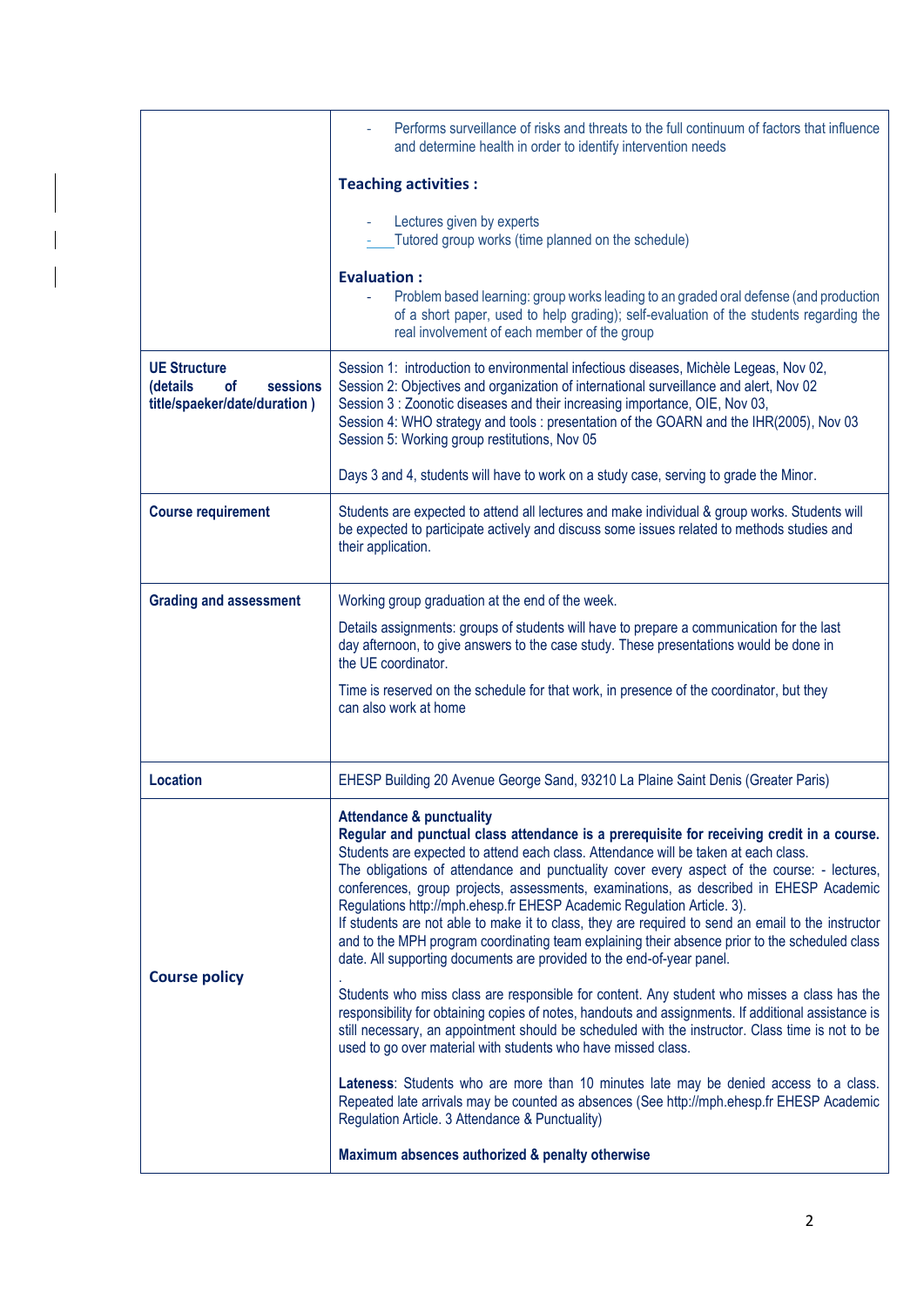|                                                                                   | Performs surveillance of risks and threats to the full continuum of factors that influence<br>and determine health in order to identify intervention needs                                                                                                                                                                                                                                                                                        |
|-----------------------------------------------------------------------------------|---------------------------------------------------------------------------------------------------------------------------------------------------------------------------------------------------------------------------------------------------------------------------------------------------------------------------------------------------------------------------------------------------------------------------------------------------|
|                                                                                   | <b>Teaching activities:</b>                                                                                                                                                                                                                                                                                                                                                                                                                       |
|                                                                                   | Lectures given by experts<br>Tutored group works (time planned on the schedule)                                                                                                                                                                                                                                                                                                                                                                   |
|                                                                                   | <b>Evaluation:</b><br>Problem based learning: group works leading to an graded oral defense (and production<br>of a short paper, used to help grading); self-evaluation of the students regarding the<br>real involvement of each member of the group                                                                                                                                                                                             |
| <b>UE Structure</b><br>sessions<br>(details<br>οf<br>title/spaeker/date/duration) | Session 1: introduction to environmental infectious diseases, Michèle Legeas, Nov 02,<br>Session 2: Objectives and organization of international surveillance and alert, Nov 02<br>Session 3 : Zoonotic diseases and their increasing importance, OIE, Nov 03,<br>Session 4: WHO strategy and tools : presentation of the GOARN and the IHR(2005), Nov 03<br>Session 5: Working group restitutions, Nov 05                                        |
|                                                                                   | Days 3 and 4, students will have to work on a study case, serving to grade the Minor.                                                                                                                                                                                                                                                                                                                                                             |
| <b>Course requirement</b>                                                         | Students are expected to attend all lectures and make individual & group works. Students will<br>be expected to participate actively and discuss some issues related to methods studies and<br>their application.                                                                                                                                                                                                                                 |
| <b>Grading and assessment</b>                                                     | Working group graduation at the end of the week.                                                                                                                                                                                                                                                                                                                                                                                                  |
|                                                                                   | Details assignments: groups of students will have to prepare a communication for the last<br>day afternoon, to give answers to the case study. These presentations would be done in<br>the UE coordinator.                                                                                                                                                                                                                                        |
|                                                                                   | Time is reserved on the schedule for that work, in presence of the coordinator, but they<br>can also work at home                                                                                                                                                                                                                                                                                                                                 |
| <b>Location</b>                                                                   | EHESP Building 20 Avenue George Sand, 93210 La Plaine Saint Denis (Greater Paris)                                                                                                                                                                                                                                                                                                                                                                 |
|                                                                                   | <b>Attendance &amp; punctuality</b><br>Regular and punctual class attendance is a prerequisite for receiving credit in a course.<br>Students are expected to attend each class. Attendance will be taken at each class.<br>The obligations of attendance and punctuality cover every aspect of the course: - lectures,                                                                                                                            |
| <b>Course policy</b>                                                              | conferences, group projects, assessments, examinations, as described in EHESP Academic<br>Regulations http://mph.ehesp.fr EHESP Academic Regulation Article. 3).<br>If students are not able to make it to class, they are required to send an email to the instructor<br>and to the MPH program coordinating team explaining their absence prior to the scheduled class<br>date. All supporting documents are provided to the end-of-year panel. |
|                                                                                   | Students who miss class are responsible for content. Any student who misses a class has the<br>responsibility for obtaining copies of notes, handouts and assignments. If additional assistance is<br>still necessary, an appointment should be scheduled with the instructor. Class time is not to be<br>used to go over material with students who have missed class.                                                                           |
|                                                                                   | Lateness: Students who are more than 10 minutes late may be denied access to a class.<br>Repeated late arrivals may be counted as absences (See http://mph.ehesp.fr EHESP Academic<br>Regulation Article. 3 Attendance & Punctuality)                                                                                                                                                                                                             |
|                                                                                   | Maximum absences authorized & penalty otherwise                                                                                                                                                                                                                                                                                                                                                                                                   |

 $\overline{\phantom{a}}$ 

 $\overline{\phantom{a}}$ 

 $\overline{\phantom{a}}$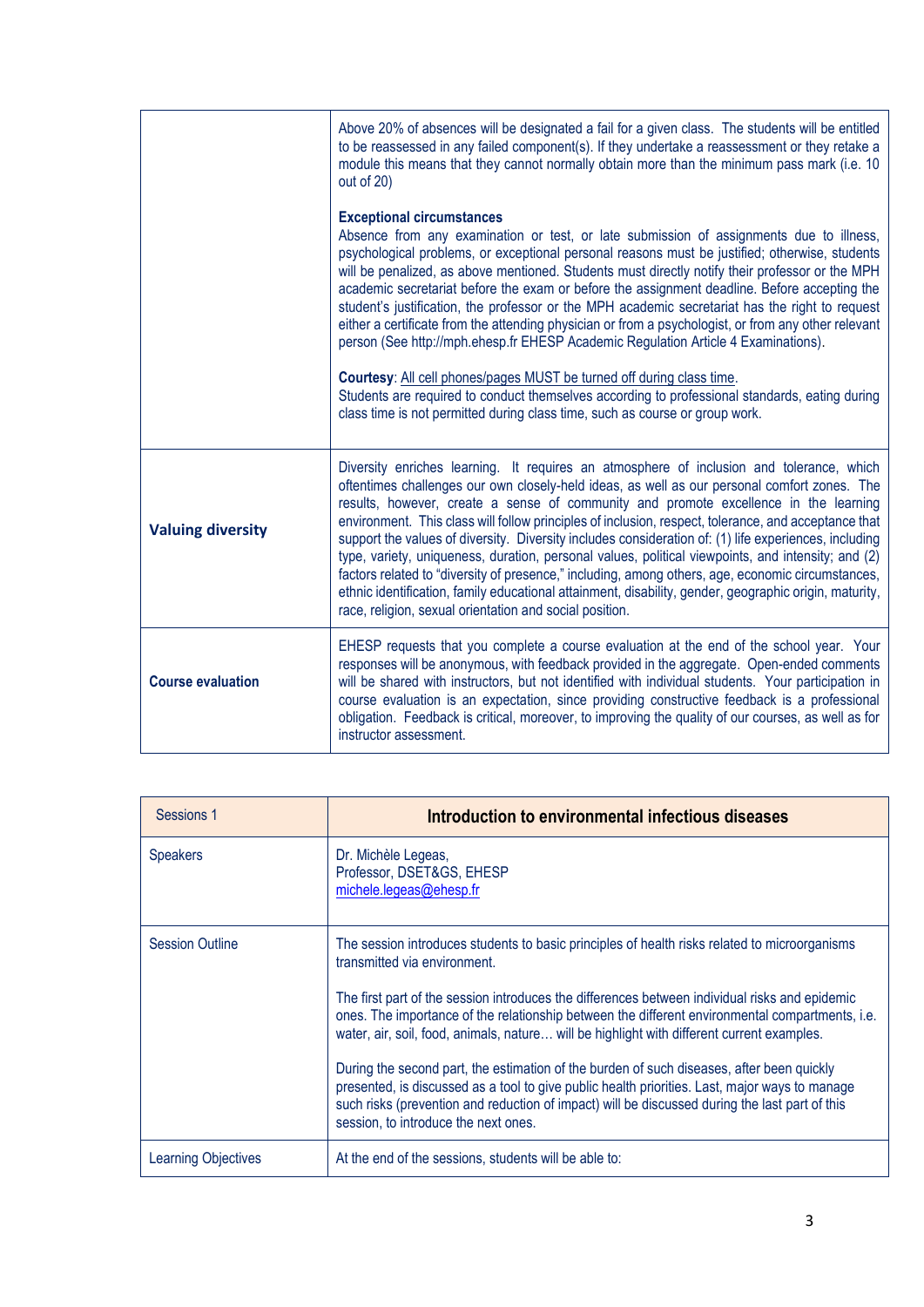|                          | Above 20% of absences will be designated a fail for a given class. The students will be entitled<br>to be reassessed in any failed component(s). If they undertake a reassessment or they retake a<br>module this means that they cannot normally obtain more than the minimum pass mark (i.e. 10<br>out of 20)                                                                                                                                                                                                                                                                                                                                                                                                                                                                                                                                                                                                                                                                              |
|--------------------------|----------------------------------------------------------------------------------------------------------------------------------------------------------------------------------------------------------------------------------------------------------------------------------------------------------------------------------------------------------------------------------------------------------------------------------------------------------------------------------------------------------------------------------------------------------------------------------------------------------------------------------------------------------------------------------------------------------------------------------------------------------------------------------------------------------------------------------------------------------------------------------------------------------------------------------------------------------------------------------------------|
|                          | <b>Exceptional circumstances</b><br>Absence from any examination or test, or late submission of assignments due to illness,<br>psychological problems, or exceptional personal reasons must be justified; otherwise, students<br>will be penalized, as above mentioned. Students must directly notify their professor or the MPH<br>academic secretariat before the exam or before the assignment deadline. Before accepting the<br>student's justification, the professor or the MPH academic secretariat has the right to request<br>either a certificate from the attending physician or from a psychologist, or from any other relevant<br>person (See http://mph.ehesp.fr EHESP Academic Regulation Article 4 Examinations).<br>Courtesy: All cell phones/pages MUST be turned off during class time.<br>Students are required to conduct themselves according to professional standards, eating during<br>class time is not permitted during class time, such as course or group work. |
| <b>Valuing diversity</b> | Diversity enriches learning. It requires an atmosphere of inclusion and tolerance, which<br>oftentimes challenges our own closely-held ideas, as well as our personal comfort zones. The<br>results, however, create a sense of community and promote excellence in the learning<br>environment. This class will follow principles of inclusion, respect, tolerance, and acceptance that<br>support the values of diversity. Diversity includes consideration of: (1) life experiences, including<br>type, variety, uniqueness, duration, personal values, political viewpoints, and intensity; and (2)<br>factors related to "diversity of presence," including, among others, age, economic circumstances,<br>ethnic identification, family educational attainment, disability, gender, geographic origin, maturity,<br>race, religion, sexual orientation and social position.                                                                                                            |
| <b>Course evaluation</b> | EHESP requests that you complete a course evaluation at the end of the school year. Your<br>responses will be anonymous, with feedback provided in the aggregate. Open-ended comments<br>will be shared with instructors, but not identified with individual students. Your participation in<br>course evaluation is an expectation, since providing constructive feedback is a professional<br>obligation. Feedback is critical, moreover, to improving the quality of our courses, as well as for<br>instructor assessment.                                                                                                                                                                                                                                                                                                                                                                                                                                                                |

| Sessions 1             | Introduction to environmental infectious diseases                                                                                                                                                                                                                                                                                     |
|------------------------|---------------------------------------------------------------------------------------------------------------------------------------------------------------------------------------------------------------------------------------------------------------------------------------------------------------------------------------|
| <b>Speakers</b>        | Dr. Michèle Legeas,<br>Professor, DSET&GS, EHESP<br>michele.legeas@ehesp.fr                                                                                                                                                                                                                                                           |
| <b>Session Outline</b> | The session introduces students to basic principles of health risks related to microorganisms<br>transmitted via environment.                                                                                                                                                                                                         |
|                        | The first part of the session introduces the differences between individual risks and epidemic<br>ones. The importance of the relationship between the different environmental compartments, i.e.<br>water, air, soil, food, animals, nature will be highlight with different current examples.                                       |
|                        | During the second part, the estimation of the burden of such diseases, after been quickly<br>presented, is discussed as a tool to give public health priorities. Last, major ways to manage<br>such risks (prevention and reduction of impact) will be discussed during the last part of this<br>session, to introduce the next ones. |
| Learning Objectives    | At the end of the sessions, students will be able to:                                                                                                                                                                                                                                                                                 |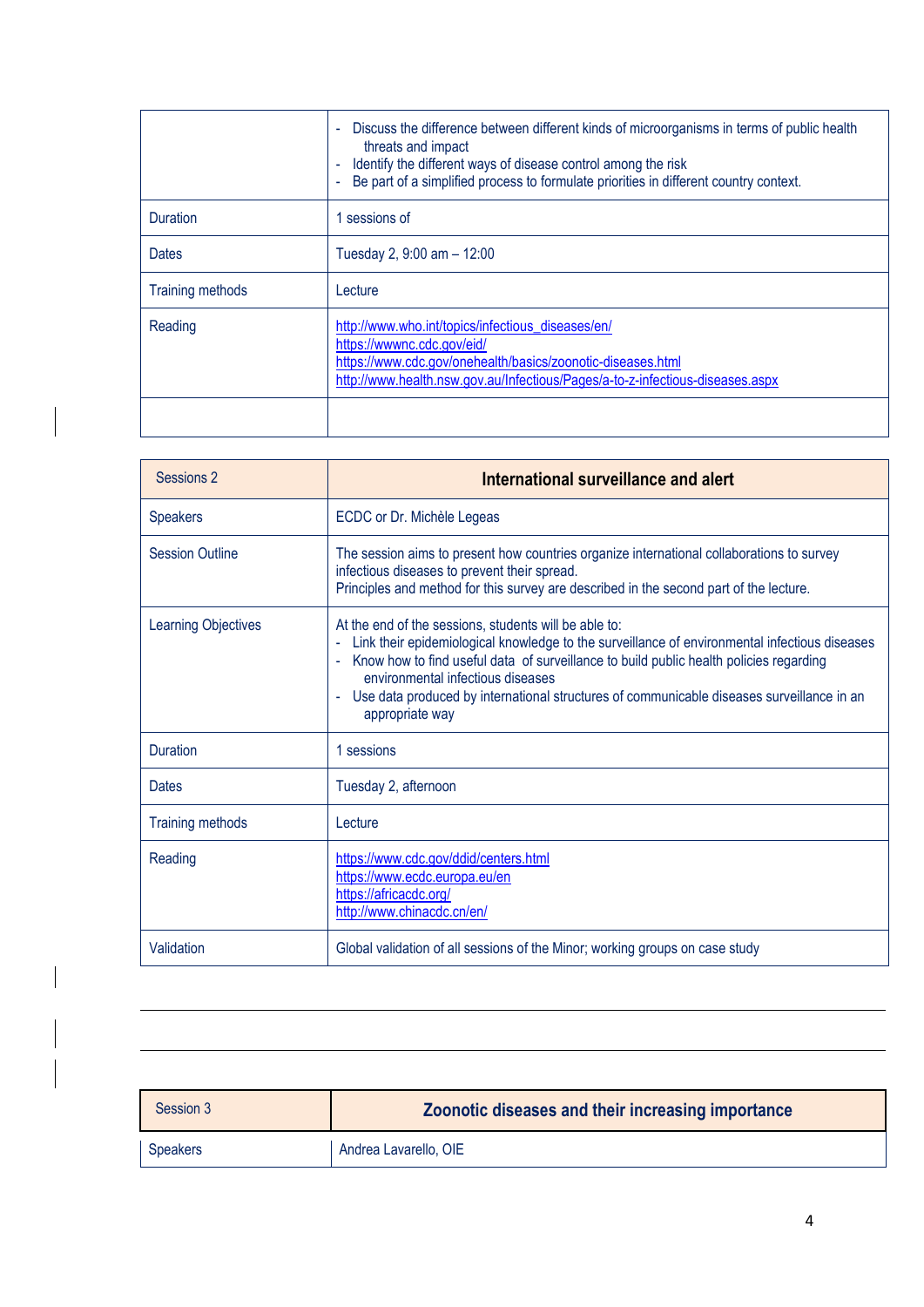|                         | Discuss the difference between different kinds of microorganisms in terms of public health<br>$\blacksquare$<br>threats and impact<br>Identify the different ways of disease control among the risk<br>Be part of a simplified process to formulate priorities in different country context. |
|-------------------------|----------------------------------------------------------------------------------------------------------------------------------------------------------------------------------------------------------------------------------------------------------------------------------------------|
| <b>Duration</b>         | sessions of                                                                                                                                                                                                                                                                                  |
| Dates                   | Tuesday 2, $9:00$ am $-12:00$                                                                                                                                                                                                                                                                |
| <b>Training methods</b> | Lecture                                                                                                                                                                                                                                                                                      |
| Reading                 | http://www.who.int/topics/infectious_diseases/en/<br>https://wwwnc.cdc.gov/eid/<br>https://www.cdc.gov/onehealth/basics/zoonotic-diseases.html<br>http://www.health.nsw.gov.au/Infectious/Pages/a-to-z-infectious-diseases.aspx                                                              |
|                         |                                                                                                                                                                                                                                                                                              |

| Sessions 2                 | International surveillance and alert                                                                                                                                                                                                                                                                                                                                                                        |
|----------------------------|-------------------------------------------------------------------------------------------------------------------------------------------------------------------------------------------------------------------------------------------------------------------------------------------------------------------------------------------------------------------------------------------------------------|
| <b>Speakers</b>            | ECDC or Dr. Michèle Legeas                                                                                                                                                                                                                                                                                                                                                                                  |
| <b>Session Outline</b>     | The session aims to present how countries organize international collaborations to survey<br>infectious diseases to prevent their spread.<br>Principles and method for this survey are described in the second part of the lecture.                                                                                                                                                                         |
| <b>Learning Objectives</b> | At the end of the sessions, students will be able to:<br>Link their epidemiological knowledge to the surveillance of environmental infectious diseases<br>Know how to find useful data of surveillance to build public health policies regarding<br>environmental infectious diseases<br>Use data produced by international structures of communicable diseases surveillance in an<br>÷,<br>appropriate way |
| <b>Duration</b>            | 1 sessions                                                                                                                                                                                                                                                                                                                                                                                                  |
| Dates                      | Tuesday 2, afternoon                                                                                                                                                                                                                                                                                                                                                                                        |
| <b>Training methods</b>    | Lecture                                                                                                                                                                                                                                                                                                                                                                                                     |
| Reading                    | https://www.cdc.gov/ddid/centers.html<br>https://www.ecdc.europa.eu/en<br>https://africacdc.org/<br>http://www.chinacdc.cn/en/                                                                                                                                                                                                                                                                              |
| Validation                 | Global validation of all sessions of the Minor; working groups on case study                                                                                                                                                                                                                                                                                                                                |

| Session 3       | Zoonotic diseases and their increasing importance |
|-----------------|---------------------------------------------------|
| <b>Speakers</b> | Andrea Lavarello, OIE                             |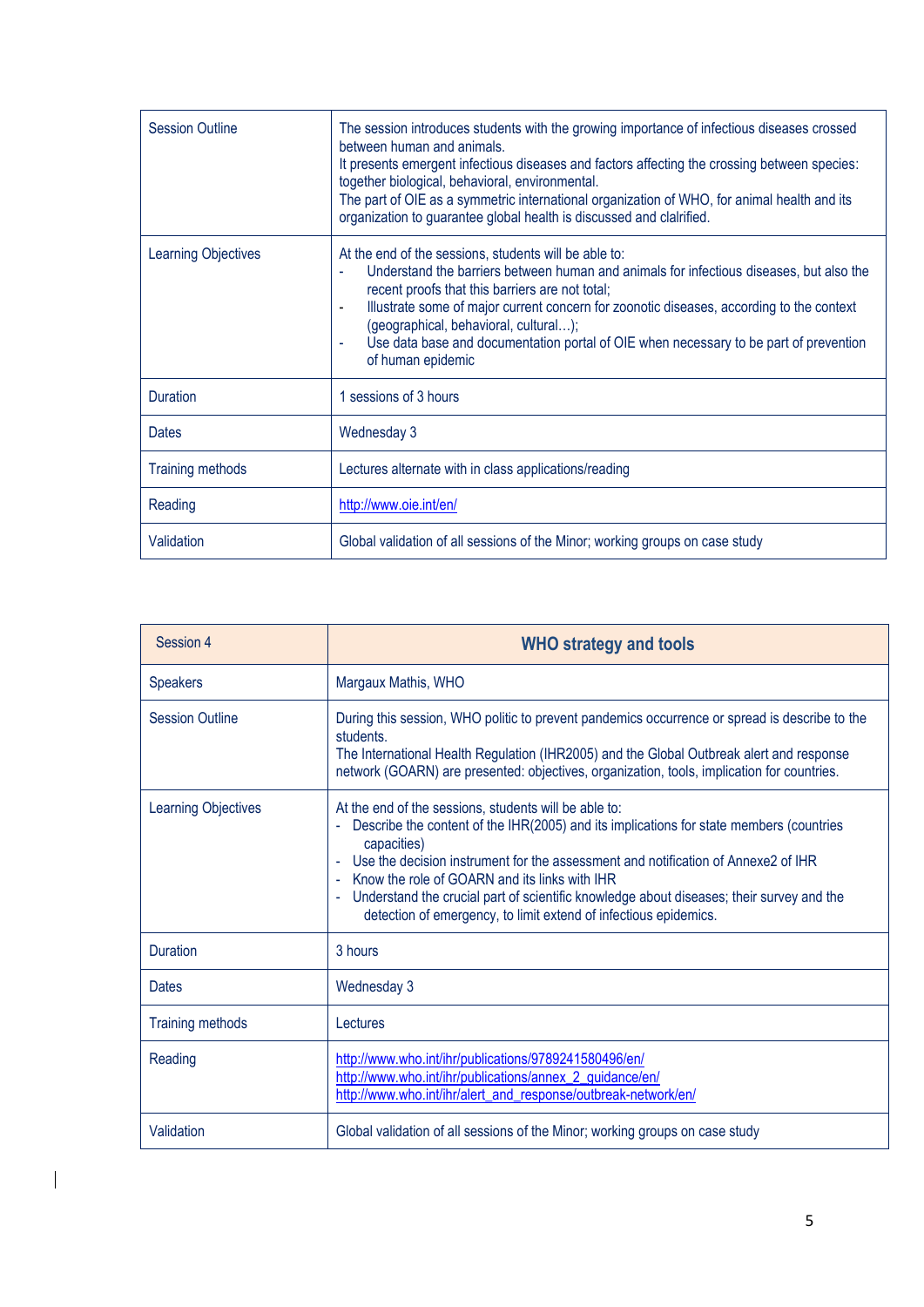| <b>Session Outline</b>     | The session introduces students with the growing importance of infectious diseases crossed<br>between human and animals.<br>It presents emergent infectious diseases and factors affecting the crossing between species:<br>together biological, behavioral, environmental.<br>The part of OIE as a symmetric international organization of WHO, for animal health and its<br>organization to guarantee global health is discussed and clalrified.                       |
|----------------------------|--------------------------------------------------------------------------------------------------------------------------------------------------------------------------------------------------------------------------------------------------------------------------------------------------------------------------------------------------------------------------------------------------------------------------------------------------------------------------|
| <b>Learning Objectives</b> | At the end of the sessions, students will be able to:<br>Understand the barriers between human and animals for infectious diseases, but also the<br>recent proofs that this barriers are not total;<br>Illustrate some of major current concern for zoonotic diseases, according to the context<br>$\blacksquare$<br>(geographical, behavioral, cultural);<br>Use data base and documentation portal of OIE when necessary to be part of prevention<br>of human epidemic |
| Duration                   | 1 sessions of 3 hours                                                                                                                                                                                                                                                                                                                                                                                                                                                    |
| <b>Dates</b>               | Wednesday 3                                                                                                                                                                                                                                                                                                                                                                                                                                                              |
| <b>Training methods</b>    | Lectures alternate with in class applications/reading                                                                                                                                                                                                                                                                                                                                                                                                                    |
| Reading                    | http://www.oie.int/en/                                                                                                                                                                                                                                                                                                                                                                                                                                                   |
| Validation                 | Global validation of all sessions of the Minor; working groups on case study                                                                                                                                                                                                                                                                                                                                                                                             |

| Session 4                  | <b>WHO strategy and tools</b>                                                                                                                                                                                                                                                                                                                                                                                                                                           |
|----------------------------|-------------------------------------------------------------------------------------------------------------------------------------------------------------------------------------------------------------------------------------------------------------------------------------------------------------------------------------------------------------------------------------------------------------------------------------------------------------------------|
| <b>Speakers</b>            | Margaux Mathis, WHO                                                                                                                                                                                                                                                                                                                                                                                                                                                     |
| <b>Session Outline</b>     | During this session, WHO politic to prevent pandemics occurrence or spread is describe to the<br>students.<br>The International Health Regulation (IHR2005) and the Global Outbreak alert and response<br>network (GOARN) are presented: objectives, organization, tools, implication for countries.                                                                                                                                                                    |
| <b>Learning Objectives</b> | At the end of the sessions, students will be able to:<br>Describe the content of the IHR(2005) and its implications for state members (countries<br>capacities)<br>Use the decision instrument for the assessment and notification of Annexe2 of IHR<br>- Know the role of GOARN and its links with IHR<br>Understand the crucial part of scientific knowledge about diseases; their survey and the<br>detection of emergency, to limit extend of infectious epidemics. |
| <b>Duration</b>            | 3 hours                                                                                                                                                                                                                                                                                                                                                                                                                                                                 |
| <b>Dates</b>               | Wednesday 3                                                                                                                                                                                                                                                                                                                                                                                                                                                             |
| <b>Training methods</b>    | Lectures                                                                                                                                                                                                                                                                                                                                                                                                                                                                |
| Reading                    | http://www.who.int/ihr/publications/9789241580496/en/<br>http://www.who.int/ihr/publications/annex_2_guidance/en/<br>http://www.who.int/ihr/alert_and_response/outbreak-network/en/                                                                                                                                                                                                                                                                                     |
| Validation                 | Global validation of all sessions of the Minor; working groups on case study                                                                                                                                                                                                                                                                                                                                                                                            |

 $\mathbf I$